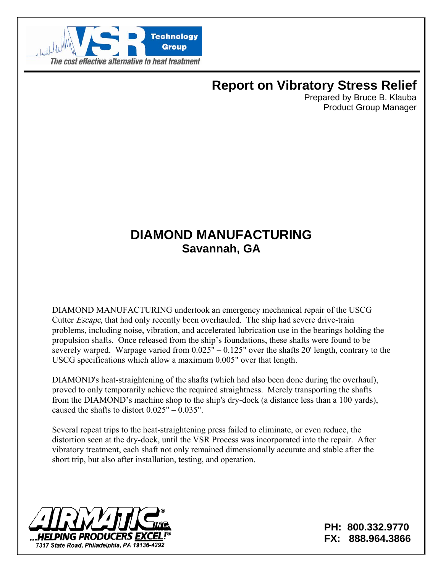

# **Report on Vibratory Stress Relief**

Prepared by Bruce B. Klauba Product Group Manager

## **DIAMOND MANUFACTURING Savannah, GA**

DIAMOND MANUFACTURING undertook an emergency mechanical repair of the USCG Cutter Escape, that had only recently been overhauled. The ship had severe drive-train problems, including noise, vibration, and accelerated lubrication use in the bearings holding the propulsion shafts. Once released from the ship's foundations, these shafts were found to be severely warped. Warpage varied from 0.025" – 0.125" over the shafts 20' length, contrary to the USCG specifications which allow a maximum 0.005" over that length.

DIAMOND's heat-straightening of the shafts (which had also been done during the overhaul), proved to only temporarily achieve the required straightness. Merely transporting the shafts from the DIAMOND's machine shop to the ship's dry-dock (a distance less than a 100 yards), caused the shafts to distort 0.025" – 0.035".

Several repeat trips to the heat-straightening press failed to eliminate, or even reduce, the distortion seen at the dry-dock, until the VSR Process was incorporated into the repair. After vibratory treatment, each shaft not only remained dimensionally accurate and stable after the short trip, but also after installation, testing, and operation.



**PH: 800.332.9770 FX: 888.964.3866**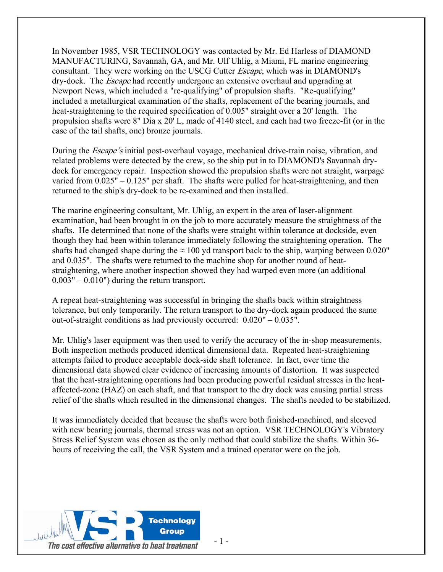In November 1985, VSR TECHNOLOGY was contacted by Mr. Ed Harless of DIAMOND MANUFACTURING, Savannah, GA, and Mr. Ulf Uhlig, a Miami, FL marine engineering consultant. They were working on the USCG Cutter Escape, which was in DIAMOND's dry-dock. The Escape had recently undergone an extensive overhaul and upgrading at Newport News, which included a "re-qualifying" of propulsion shafts. "Re-qualifying" included a metallurgical examination of the shafts, replacement of the bearing journals, and heat-straightening to the required specification of 0.005" straight over a 20' length. The propulsion shafts were 8" Dia x 20' L, made of 4140 steel, and each had two freeze-fit (or in the case of the tail shafts, one) bronze journals.

During the *Escape's* initial post-overhaul voyage, mechanical drive-train noise, vibration, and related problems were detected by the crew, so the ship put in to DIAMOND's Savannah drydock for emergency repair. Inspection showed the propulsion shafts were not straight, warpage varied from  $0.025" - 0.125"$  per shaft. The shafts were pulled for heat-straightening, and then returned to the ship's dry-dock to be re-examined and then installed.

The marine engineering consultant, Mr. Uhlig, an expert in the area of laser-alignment examination, had been brought in on the job to more accurately measure the straightness of the shafts. He determined that none of the shafts were straight within tolerance at dockside, even though they had been within tolerance immediately following the straightening operation. The shafts had changed shape during the  $\approx 100$  yd transport back to the ship, warping between 0.020" and 0.035". The shafts were returned to the machine shop for another round of heatstraightening, where another inspection showed they had warped even more (an additional  $0.003" - 0.010"$  during the return transport.

A repeat heat-straightening was successful in bringing the shafts back within straightness tolerance, but only temporarily. The return transport to the dry-dock again produced the same out-of-straight conditions as had previously occurred: 0.020" – 0.035".

Mr. Uhlig's laser equipment was then used to verify the accuracy of the in-shop measurements. Both inspection methods produced identical dimensional data. Repeated heat-straightening attempts failed to produce acceptable dock-side shaft tolerance. In fact, over time the dimensional data showed clear evidence of increasing amounts of distortion. It was suspected that the heat-straightening operations had been producing powerful residual stresses in the heataffected-zone (HAZ) on each shaft, and that transport to the dry dock was causing partial stress relief of the shafts which resulted in the dimensional changes. The shafts needed to be stabilized.

It was immediately decided that because the shafts were both finished-machined, and sleeved with new bearing journals, thermal stress was not an option. VSR TECHNOLOGY's Vibratory Stress Relief System was chosen as the only method that could stabilize the shafts. Within 36 hours of receiving the call, the VSR System and a trained operator were on the job.

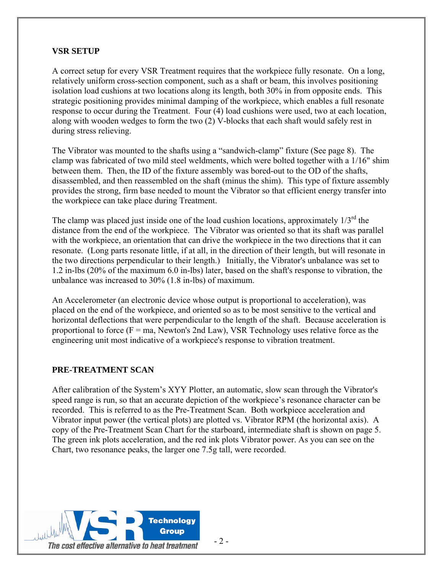## **VSR SETUP**

A correct setup for every VSR Treatment requires that the workpiece fully resonate. On a long, relatively uniform cross-section component, such as a shaft or beam, this involves positioning isolation load cushions at two locations along its length, both 30% in from opposite ends. This strategic positioning provides minimal damping of the workpiece, which enables a full resonate response to occur during the Treatment. Four (4) load cushions were used, two at each location, along with wooden wedges to form the two (2) V-blocks that each shaft would safely rest in during stress relieving.

The Vibrator was mounted to the shafts using a "sandwich-clamp" fixture (See page 8). The clamp was fabricated of two mild steel weldments, which were bolted together with a 1/16" shim between them. Then, the ID of the fixture assembly was bored-out to the OD of the shafts, disassembled, and then reassembled on the shaft (minus the shim). This type of fixture assembly provides the strong, firm base needed to mount the Vibrator so that efficient energy transfer into the workpiece can take place during Treatment.

The clamp was placed just inside one of the load cushion locations, approximately  $1/3<sup>rd</sup>$  the distance from the end of the workpiece. The Vibrator was oriented so that its shaft was parallel with the workpiece, an orientation that can drive the workpiece in the two directions that it can resonate. (Long parts resonate little, if at all, in the direction of their length, but will resonate in the two directions perpendicular to their length.) Initially, the Vibrator's unbalance was set to 1.2 in-lbs (20% of the maximum 6.0 in-lbs) later, based on the shaft's response to vibration, the unbalance was increased to 30% (1.8 in-lbs) of maximum.

An Accelerometer (an electronic device whose output is proportional to acceleration), was placed on the end of the workpiece, and oriented so as to be most sensitive to the vertical and horizontal deflections that were perpendicular to the length of the shaft. Because acceleration is proportional to force  $(F = ma$ , Newton's 2nd Law), VSR Technology uses relative force as the engineering unit most indicative of a workpiece's response to vibration treatment.

## **PRE-TREATMENT SCAN**

After calibration of the System's XYY Plotter, an automatic, slow scan through the Vibrator's speed range is run, so that an accurate depiction of the workpiece's resonance character can be recorded. This is referred to as the Pre-Treatment Scan. Both workpiece acceleration and Vibrator input power (the vertical plots) are plotted vs. Vibrator RPM (the horizontal axis). A copy of the Pre-Treatment Scan Chart for the starboard, intermediate shaft is shown on page 5. The green ink plots acceleration, and the red ink plots Vibrator power. As you can see on the Chart, two resonance peaks, the larger one 7.5g tall, were recorded.

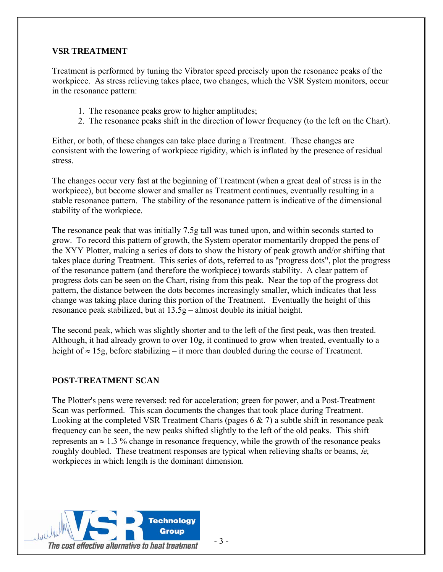## **VSR TREATMENT**

Treatment is performed by tuning the Vibrator speed precisely upon the resonance peaks of the workpiece. As stress relieving takes place, two changes, which the VSR System monitors, occur in the resonance pattern:

- 1. The resonance peaks grow to higher amplitudes;
- 2. The resonance peaks shift in the direction of lower frequency (to the left on the Chart).

Either, or both, of these changes can take place during a Treatment. These changes are consistent with the lowering of workpiece rigidity, which is inflated by the presence of residual stress.

The changes occur very fast at the beginning of Treatment (when a great deal of stress is in the workpiece), but become slower and smaller as Treatment continues, eventually resulting in a stable resonance pattern. The stability of the resonance pattern is indicative of the dimensional stability of the workpiece.

The resonance peak that was initially 7.5g tall was tuned upon, and within seconds started to grow. To record this pattern of growth, the System operator momentarily dropped the pens of the XYY Plotter, making a series of dots to show the history of peak growth and/or shifting that takes place during Treatment. This series of dots, referred to as "progress dots", plot the progress of the resonance pattern (and therefore the workpiece) towards stability. A clear pattern of progress dots can be seen on the Chart, rising from this peak. Near the top of the progress dot pattern, the distance between the dots becomes increasingly smaller, which indicates that less change was taking place during this portion of the Treatment. Eventually the height of this resonance peak stabilized, but at 13.5g – almost double its initial height.

The second peak, which was slightly shorter and to the left of the first peak, was then treated. Although, it had already grown to over 10g, it continued to grow when treated, eventually to a height of ≈ 15g, before stabilizing – it more than doubled during the course of Treatment.

## **POST-TREATMENT SCAN**

The Plotter's pens were reversed: red for acceleration; green for power, and a Post-Treatment Scan was performed. This scan documents the changes that took place during Treatment. Looking at the completed VSR Treatment Charts (pages  $6 \& 7$ ) a subtle shift in resonance peak frequency can be seen, the new peaks shifted slightly to the left of the old peaks. This shift represents an  $\approx 1.3$  % change in resonance frequency, while the growth of the resonance peaks roughly doubled. These treatment responses are typical when relieving shafts or beams,  $ie$ , workpieces in which length is the dominant dimension.

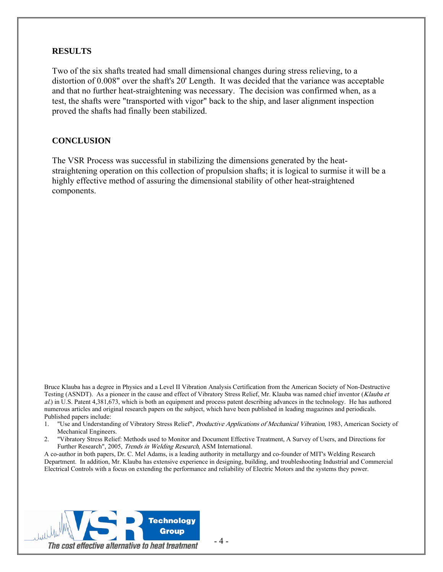#### **RESULTS**

Two of the six shafts treated had small dimensional changes during stress relieving, to a distortion of 0.008" over the shaft's 20' Length. It was decided that the variance was acceptable and that no further heat-straightening was necessary. The decision was confirmed when, as a test, the shafts were "transported with vigor" back to the ship, and laser alignment inspection proved the shafts had finally been stabilized.

#### **CONCLUSION**

The VSR Process was successful in stabilizing the dimensions generated by the heatstraightening operation on this collection of propulsion shafts; it is logical to surmise it will be a highly effective method of assuring the dimensional stability of other heat-straightened components.

Bruce Klauba has a degree in Physics and a Level II Vibration Analysis Certification from the American Society of Non-Destructive Testing (ASNDT). As a pioneer in the cause and effect of Vibratory Stress Relief, Mr. Klauba was named chief inventor (Klauba et al.) in U.S. Patent 4,381,673, which is both an equipment and process patent describing advances in the technology. He has authored numerous articles and original research papers on the subject, which have been published in leading magazines and periodicals. Published papers include:

- 1. "Use and Understanding of Vibratory Stress Relief", Productive Applications of Mechanical Vibration, 1983, American Society of Mechanical Engineers.
- 2. "Vibratory Stress Relief: Methods used to Monitor and Document Effective Treatment, A Survey of Users, and Directions for Further Research", 2005, Trends in Welding Research, ASM International.

A co-author in both papers, Dr. C. Mel Adams, is a leading authority in metallurgy and co-founder of MIT's Welding Research Department. In addition, Mr. Klauba has extensive experience in designing, building, and troubleshooting Industrial and Commercial Electrical Controls with a focus on extending the performance and reliability of Electric Motors and the systems they power.

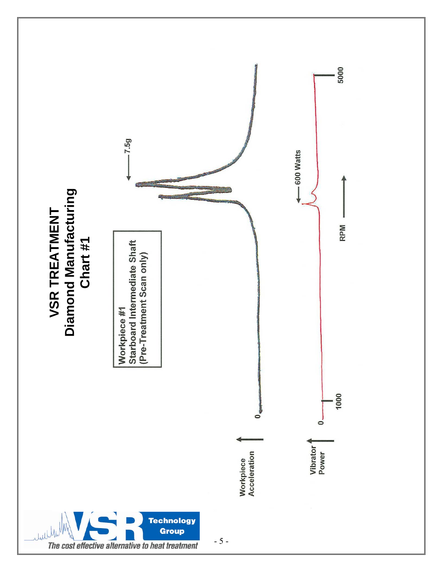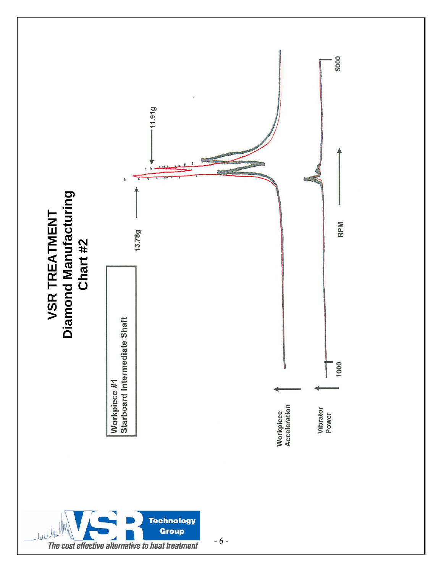

- 6 -

The cost effective alternative to heat treatment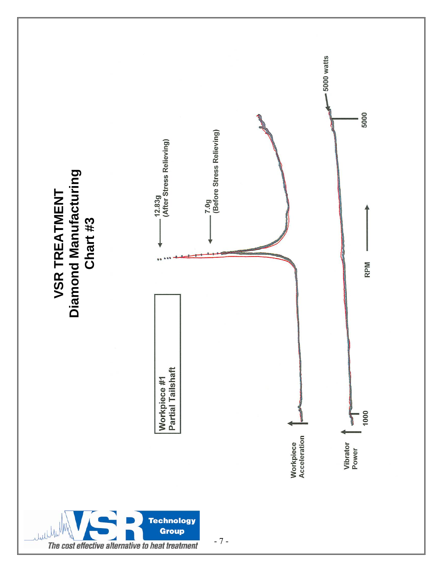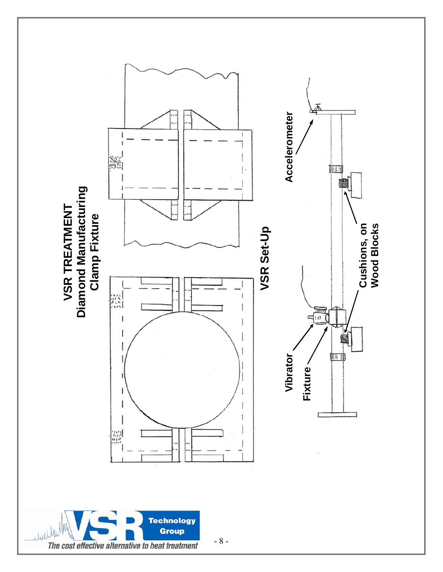



- 8 -